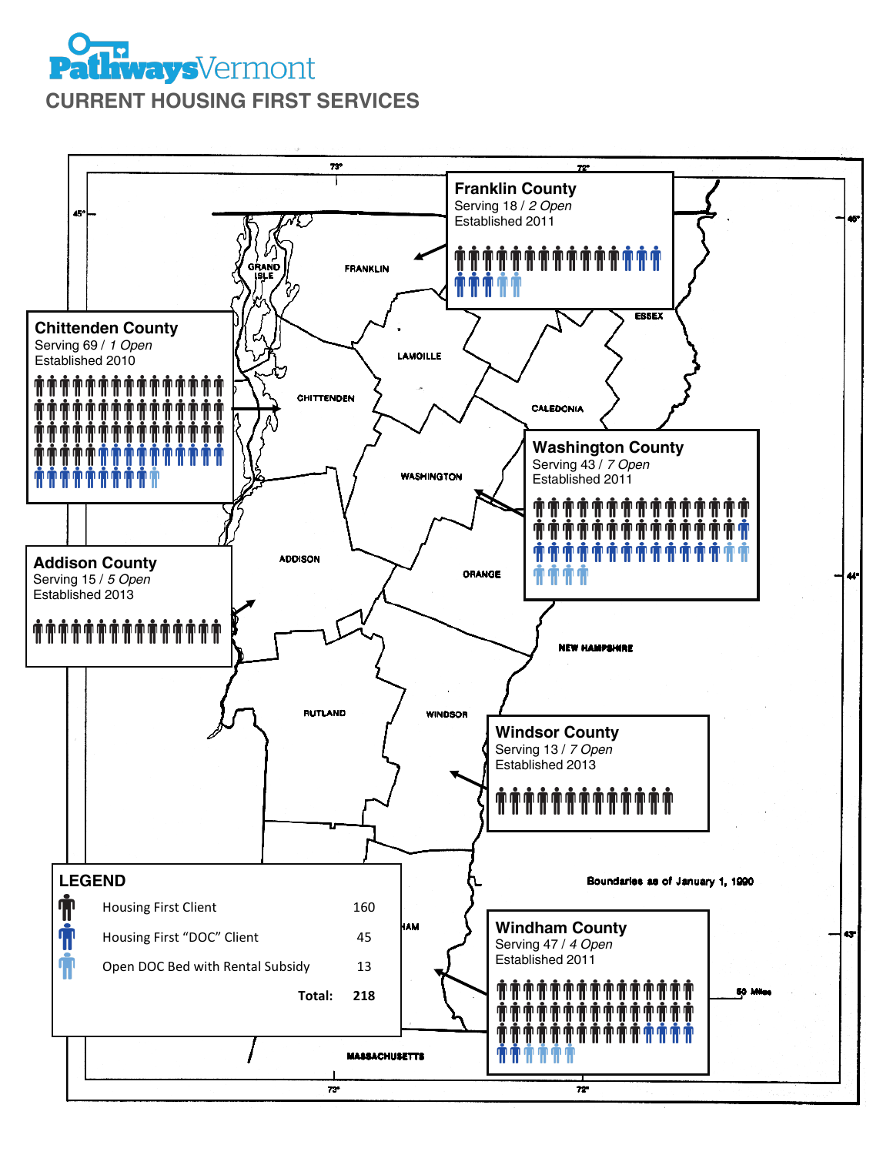## thwaysVermont

**CURRENT HOUSING FIRST SERVICES**

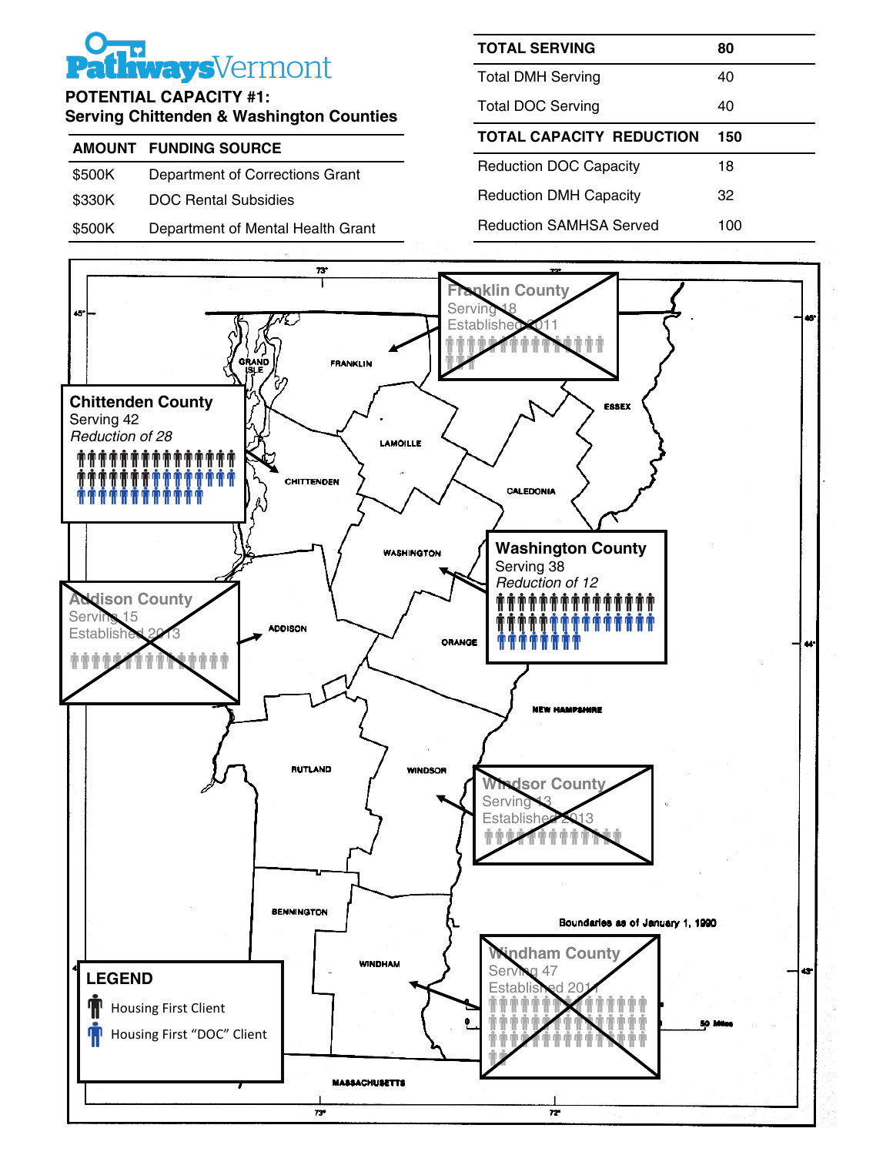# thwaysVermont

### **POTENTIAL CAPACITY #1: Serving Chittenden & Washington Counties**

#### **AMOUNT FUNDING SOURCE**

| \$500K | Department of Corrections Grant |
|--------|---------------------------------|
| \$330K | <b>DOC Rental Subsidies</b>     |

\$500K Department of Mental Health Grant

| <b>TOTAL SERVING</b>            | 80  |
|---------------------------------|-----|
| <b>Total DMH Serving</b>        | 40  |
| <b>Total DOC Serving</b>        | 40  |
| <b>TOTAL CAPACITY REDUCTION</b> | 150 |
| <b>Reduction DOC Capacity</b>   | 18  |
| <b>Reduction DMH Capacity</b>   | 32  |
| <b>Reduction SAMHSA Served</b>  | 100 |